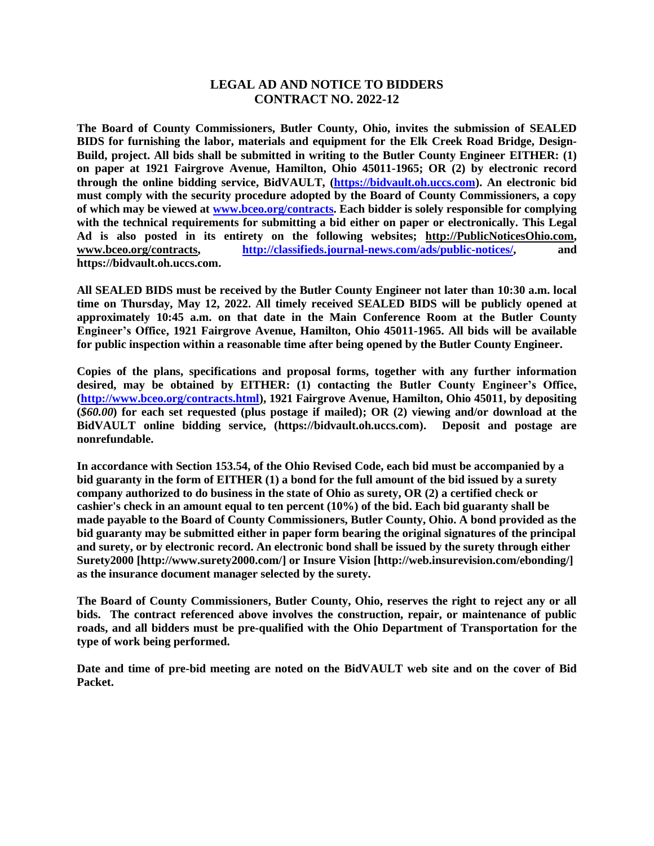## **LEGAL AD AND NOTICE TO BIDDERS CONTRACT NO. 2022-12**

**The Board of County Commissioners, Butler County, Ohio, invites the submission of SEALED BIDS for furnishing the labor, materials and equipment for the Elk Creek Road Bridge, Design-Build, project. All bids shall be submitted in writing to the Butler County Engineer EITHER: (1) on paper at 1921 Fairgrove Avenue, Hamilton, Ohio 45011-1965; OR (2) by electronic record through the online bidding service, BidVAULT, [\(https://bidvault.oh.uccs.com\)](https://bidvault.oh.uccs.com/). An electronic bid must comply with the security procedure adopted by the Board of County Commissioners, a copy of which may be viewed at [www.bceo.org/contracts.](http://www.bceo.org/contracts) Each bidder is solely responsible for complying with the technical requirements for submitting a bid either on paper or electronically. This Legal Ad is also posted in its entirety on the following websites; [http://PublicNoticesOhio.com,](http://publicnoticesohio.com/) [www.bceo.org/contracts,](http://www.bceo.org/contracts) [http://classifieds.journal-news.com/ads/public-notices/,](http://classifieds.journal-news.com/ads/public-notices/) and https://bidvault.oh.uccs.com.**

**All SEALED BIDS must be received by the Butler County Engineer not later than 10:30 a.m. local time on Thursday, May 12, 2022. All timely received SEALED BIDS will be publicly opened at approximately 10:45 a.m. on that date in the Main Conference Room at the Butler County Engineer's Office, 1921 Fairgrove Avenue, Hamilton, Ohio 45011-1965. All bids will be available for public inspection within a reasonable time after being opened by the Butler County Engineer.**

**Copies of the plans, specifications and proposal forms, together with any further information desired, may be obtained by EITHER: (1) contacting the Butler County Engineer's Office, [\(http://www.bceo.org/contracts.html\)](http://www.bceo.org/contracts.html), 1921 Fairgrove Avenue, Hamilton, Ohio 45011, by depositing (***\$60.00***) for each set requested (plus postage if mailed); OR (2) viewing and/or download at the BidVAULT online bidding service, (https://bidvault.oh.uccs.com). Deposit and postage are nonrefundable.** 

**In accordance with Section 153.54, of the Ohio Revised Code, each bid must be accompanied by a bid guaranty in the form of EITHER (1) a bond for the full amount of the bid issued by a surety company authorized to do business in the state of Ohio as surety, OR (2) a certified check or cashier's check in an amount equal to ten percent (10%) of the bid. Each bid guaranty shall be made payable to the Board of County Commissioners, Butler County, Ohio. A bond provided as the bid guaranty may be submitted either in paper form bearing the original signatures of the principal and surety, or by electronic record. An electronic bond shall be issued by the surety through either Surety2000 [http://www.surety2000.com/] or Insure Vision [http://web.insurevision.com/ebonding/] as the insurance document manager selected by the surety.**

**The Board of County Commissioners, Butler County, Ohio, reserves the right to reject any or all bids. The contract referenced above involves the construction, repair, or maintenance of public roads, and all bidders must be pre-qualified with the Ohio Department of Transportation for the type of work being performed.** 

**Date and time of pre-bid meeting are noted on the BidVAULT web site and on the cover of Bid Packet.**